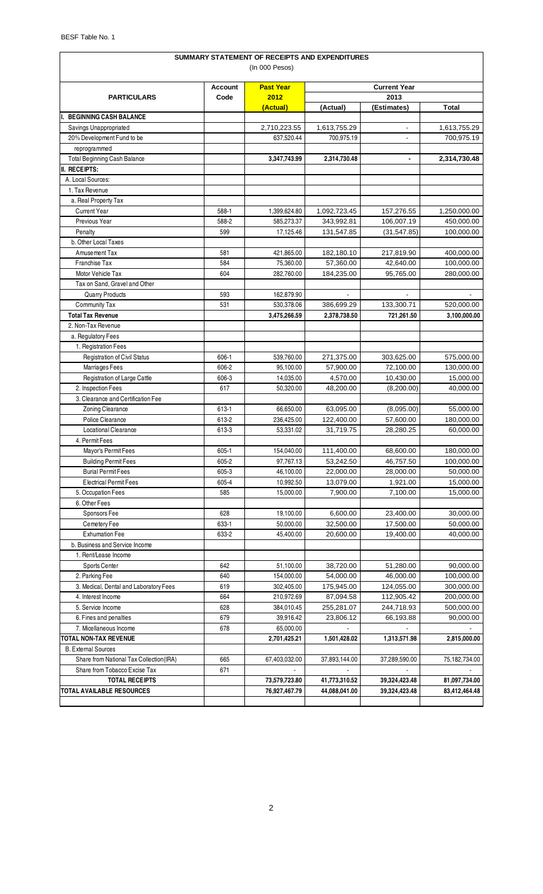| SUMMARY STATEMENT OF RECEIPTS AND EXPENDITURES           |                |                         |                         |                          |                         |  |  |
|----------------------------------------------------------|----------------|-------------------------|-------------------------|--------------------------|-------------------------|--|--|
| (In 000 Pesos)                                           |                |                         |                         |                          |                         |  |  |
|                                                          | <b>Account</b> | <b>Past Year</b>        | <b>Current Year</b>     |                          |                         |  |  |
| <b>PARTICULARS</b>                                       | Code           | 2012                    |                         | 2013                     |                         |  |  |
| <b>BEGINNING CASH BALANCE</b>                            |                | (Actual)                | (Actual)                | (Estimates)              | <b>Total</b>            |  |  |
| Savings Unappropriated                                   |                | 2,710,223.55            | 1,613,755.29            | $\overline{\phantom{a}}$ | 1,613,755.29            |  |  |
| 20% Development Fund to be                               |                | 637,520.44              | 700,975.19              |                          | 700,975.19              |  |  |
| reprogrammed                                             |                |                         |                         |                          |                         |  |  |
| Total Beginning Cash Balance                             |                | 3,347,743.99            | 2,314,730.48            | $\blacksquare$           | 2,314,730.48            |  |  |
| II. RECEIPTS:                                            |                |                         |                         |                          |                         |  |  |
| A. Local Sources:                                        |                |                         |                         |                          |                         |  |  |
| 1. Tax Revenue                                           |                |                         |                         |                          |                         |  |  |
| a. Real Property Tax                                     |                |                         |                         |                          |                         |  |  |
| <b>Current Year</b>                                      | 588-1          | 1,399,624.80            | 1,092,723.45            | 157,276.55               | 1,250,000.00            |  |  |
| Previous Year                                            | 588-2          | 585,273.37              | 343,992.81              | 106,007.19               | 450,000.00              |  |  |
| Penalty                                                  | 599            | 17,125.46               | 131,547.85              | (31, 547.85)             | 100,000.00              |  |  |
| b. Other Local Taxes                                     |                |                         |                         |                          |                         |  |  |
| Amusement Tax                                            | 581            | 421,865.00              | 182,180.10              | 217,819.90               | 400,000.00              |  |  |
| Franchise Tax                                            | 584            | 75,360.00               | 57,360.00               | 42,640.00                | 100,000.00              |  |  |
| Motor Vehicle Tax                                        | 604            | 282,760.00              | 184,235.00              | 95,765.00                | 280,000.00              |  |  |
| Tax on Sand, Gravel and Other                            |                |                         |                         |                          |                         |  |  |
| <b>Quarry Products</b>                                   | 593            | 162,879.90              |                         | $\sim$                   |                         |  |  |
| Community Tax                                            | 531            | 530,378.06              | 386,699.29              | 133,300.71               | 520,000.00              |  |  |
| <b>Total Tax Revenue</b>                                 |                | 3,475,266.59            | 2,378,738.50            | 721,261.50               | 3,100,000.00            |  |  |
| 2. Non-Tax Revenue                                       |                |                         |                         |                          |                         |  |  |
| a. Regulatory Fees                                       |                |                         |                         |                          |                         |  |  |
| 1. Registration Fees                                     |                |                         |                         |                          |                         |  |  |
| Registration of Civil Status                             | 606-1          | 539,760.00              | 271,375.00              | 303,625.00               | 575,000.00              |  |  |
| Marriages Fees                                           | 606-2          | 95,100.00               | 57,900.00               | 72,100.00                | 130,000.00              |  |  |
| Registration of Large Cattle                             | 606-3          | 14,035.00               | 4,570.00                | 10,430.00                | 15,000.00               |  |  |
| 2. Inspection Fees<br>3. Clearance and Certification Fee | 617            | 50,320.00               | 48,200.00               | (8,200.00)               | 40,000.00               |  |  |
|                                                          |                |                         |                         |                          |                         |  |  |
| Zoning Clearance<br>Police Clearance                     | 613-1<br>613-2 | 66,650.00               | 63,095.00<br>122,400.00 | (8,095.00)<br>57,600.00  | 55,000.00<br>180,000.00 |  |  |
| <b>Locational Clearance</b>                              | 613-3          | 236,425.00<br>53,331.02 | 31,719.75               | 28,280.25                | 60,000.00               |  |  |
| 4. Permit Fees                                           |                |                         |                         |                          |                         |  |  |
| Mayor's Permit Fees                                      | $605 - 1$      | 154,040.00              | 111,400.00              | 68,600.00                | 180,000.00              |  |  |
| <b>Building Permit Fees</b>                              | 605-2          | 97,767.13               | 53,242.50               | 46,757.50                | 100,000.00              |  |  |
| <b>Burial Permit Fees</b>                                | 605-3          | 46,100.00               | 22,000.00               | 28,000.00                | 50,000.00               |  |  |
| <b>Electrical Permit Fees</b>                            | 605-4          | 10,992.50               | 13,079.00               | 1,921.00                 | 15,000.00               |  |  |
| 5. Occupation Fees                                       | 585            | 15,000.00               | 7,900.00                | 7,100.00                 | 15,000.00               |  |  |
| 6. Other Fees                                            |                |                         |                         |                          |                         |  |  |
| Sponsors Fee                                             | 628            | 19,100.00               | 6,600.00                | 23,400.00                | 30,000.00               |  |  |
| Cemetery Fee                                             | 633-1          | 50,000.00               | 32,500.00               | 17,500.00                | 50,000.00               |  |  |
| <b>Exhumation Fee</b>                                    | 633-2          | 45,400.00               | 20,600.00               | 19,400.00                | 40,000.00               |  |  |
| b. Business and Service Income                           |                |                         |                         |                          |                         |  |  |
| 1. Rent/Lease Income                                     |                |                         |                         |                          |                         |  |  |
| <b>Sports Center</b>                                     | 642            | 51,100.00               | 38,720.00               | 51,280.00                | 90,000.00               |  |  |
| 2. Parking Fee                                           | 640            | 154,000.00              | 54,000.00               | 46,000.00                | 100,000.00              |  |  |
| 3. Medical, Dental and Laboratory Fees                   | 619            | 302,405.00              | 175,945.00              | 124,055.00               | 300,000.00              |  |  |
| 4. Interest Income                                       | 664            | 210,972.69              | 87,094.58               | 112,905.42               | 200,000.00              |  |  |
| 5. Service Income                                        | 628            | 384,010.45              | 255,281.07              | 244,718.93               | 500,000.00              |  |  |
| 6. Fines and penalties                                   | 679            | 39,916.42               | 23,806.12               | 66,193.88                | 90,000.00               |  |  |
| 7. Micellaneous Income                                   | 678            | 65,000.00               |                         |                          |                         |  |  |
| TOTAL NON-TAX REVENUE                                    |                | 2,701,425.21            | 1,501,428.02            | 1,313,571.98             | 2,815,000.00            |  |  |
| <b>B.</b> External Sources                               |                |                         |                         |                          |                         |  |  |
| Share from National Tax Collection(IRA)                  | 665            | 67,403,032.00           | 37,893,144.00           | 37,289,590.00            | 75,182,734.00           |  |  |
| Share from Tobacco Excise Tax                            | 671            |                         |                         |                          |                         |  |  |
| <b>TOTAL RECEIPTS</b>                                    |                | 73,579,723.80           | 41,773,310.52           | 39,324,423.48            | 81,097,734.00           |  |  |
| TOTAL AVAILABLE RESOURCES                                |                | 76,927,467.79           | 44,088,041.00           | 39,324,423.48            | 83,412,464.48           |  |  |
|                                                          |                |                         |                         |                          |                         |  |  |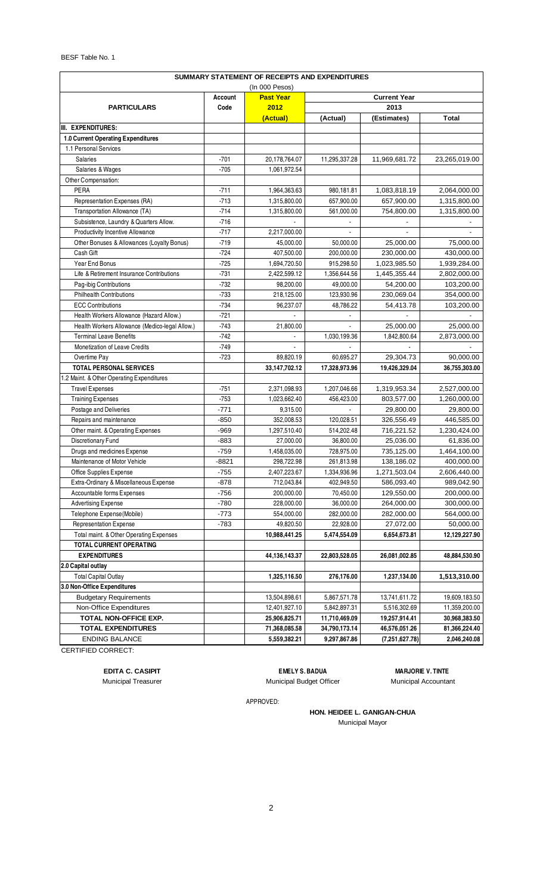BESF Table No. 1

| SUMMARY STATEMENT OF RECEIPTS AND EXPENDITURES                       |         |               |               |                |               |  |
|----------------------------------------------------------------------|---------|---------------|---------------|----------------|---------------|--|
| (In 000 Pesos)<br><b>Current Year</b><br>Account<br><b>Past Year</b> |         |               |               |                |               |  |
| <b>PARTICULARS</b>                                                   | Code    | 2012          | 2013          |                |               |  |
|                                                                      |         | (Actual)      | (Actual)      | (Estimates)    | <b>Total</b>  |  |
| III. EXPENDITURES:                                                   |         |               |               |                |               |  |
| <b>1.0 Current Operating Expenditures</b>                            |         |               |               |                |               |  |
| 1.1 Personal Services                                                |         |               |               |                |               |  |
| <b>Salaries</b>                                                      | $-701$  | 20,178,764.07 | 11,295,337.28 | 11,969,681.72  | 23,265,019.00 |  |
| Salaries & Wages                                                     | $-705$  | 1,061,972.54  |               |                |               |  |
| Other Compensation:                                                  |         |               |               |                |               |  |
| PERA                                                                 | $-711$  | 1,964,363.63  | 980,181.81    | 1,083,818.19   | 2,064,000.00  |  |
| Representation Expenses (RA)                                         | $-713$  | 1,315,800.00  | 657,900.00    | 657,900.00     | 1,315,800.00  |  |
| Transportation Allowance (TA)                                        | $-714$  | 1,315,800.00  | 561,000.00    | 754,800.00     | 1,315,800.00  |  |
| Subsistence, Laundry & Quarters Allow.                               | $-716$  |               |               |                |               |  |
| Productivity Incentive Allowance                                     | $-717$  | 2,217,000.00  |               |                |               |  |
| Other Bonuses & Allowances (Loyalty Bonus)                           | $-719$  | 45,000.00     | 50,000.00     | 25,000.00      | 75,000.00     |  |
| Cash Gift                                                            | $-724$  | 407,500.00    | 200,000.00    | 230,000.00     | 430,000.00    |  |
| Year End Bonus                                                       | $-725$  | 1,694,720.50  | 915,298.50    | 1,023,985.50   | 1,939,284.00  |  |
| Life & Retirement Insurance Contributions                            | $-731$  | 2,422,599.12  | 1,356,644.56  | 1,445,355.44   | 2,802,000.00  |  |
| Pag-ibig Contributions                                               | $-732$  | 98,200.00     | 49,000.00     | 54,200.00      | 103,200.00    |  |
| <b>Philhealth Contributions</b>                                      | $-733$  | 218,125.00    | 123,930.96    | 230,069.04     | 354,000.00    |  |
| <b>ECC Contributions</b>                                             | $-734$  | 96,237.07     | 48,786.22     | 54,413.78      | 103,200.00    |  |
| Health Workers Allowance (Hazard Allow.)                             | $-721$  |               |               |                |               |  |
| Health Workers Allowance (Medico-legal Allow.)                       | $-743$  | 21,800.00     |               | 25,000.00      | 25,000.00     |  |
| <b>Terminal Leave Benefits</b>                                       | $-742$  |               | 1,030,199.36  | 1,842,800.64   | 2,873,000.00  |  |
| Monetization of Leave Credits                                        | $-749$  |               |               |                |               |  |
| Overtime Pay                                                         | $-723$  | 89,820.19     | 60,695.27     | 29,304.73      | 90,000.00     |  |
| <b>TOTAL PERSONAL SERVICES</b>                                       |         | 33,147,702.12 | 17,328,973.96 | 19,426,329.04  | 36,755,303.00 |  |
| 1.2 Maint. & Other Operating Expenditures                            |         |               |               |                |               |  |
| <b>Travel Expenses</b>                                               | $-751$  | 2,371,098.93  | 1,207,046.66  | 1,319,953.34   | 2,527,000.00  |  |
| <b>Training Expenses</b>                                             | $-753$  | 1,023,662.40  | 456,423.00    | 803,577.00     | 1,260,000.00  |  |
| Postage and Deliveries                                               | $-771$  | 9,315.00      |               | 29,800.00      | 29,800.00     |  |
| Repairs and maintenance                                              | $-850$  | 352,008.53    | 120,028.51    | 326,556.49     | 446,585.00    |  |
| Other maint. & Operating Expenses                                    | $-969$  | 1,297,510.40  | 514,202.48    | 716,221.52     | 1,230,424.00  |  |
| Discretionary Fund                                                   | $-883$  | 27,000.00     | 36,800.00     | 25,036.00      | 61,836.00     |  |
| Drugs and medicines Expense                                          | $-759$  | 1,458,035.00  | 728,975.00    | 735,125.00     | 1,464,100.00  |  |
| Maintenance of Motor Vehicle                                         | $-8821$ | 298,722.98    | 261,813.98    | 138,186.02     | 400,000.00    |  |
| Office Supplies Expense                                              | $-755$  | 2,407,223.67  | 1,334,936.96  | 1,271,503.04   | 2,606,440.00  |  |
| Extra-Ordinary & Miscellaneous Expense                               | $-878$  | 712,043.84    | 402,949.50    | 586,093.40     | 989,042.90    |  |
| Accountable forms Expenses                                           | $-756$  | 200,000.00    | 70,450.00     | 129,550.00     | 200,000.00    |  |
| <b>Advertising Expense</b>                                           | $-780$  | 228,000.00    | 36,000.00     | 264,000.00     | 300,000.00    |  |
| Telephone Expense (Mobile)                                           | $-773$  | 554,000.00    | 282,000.00    | 282,000.00     | 564,000.00    |  |
| <b>Representation Expense</b>                                        | $-783$  | 49,820.50     | 22,928.00     | 27,072.00      | 50,000.00     |  |
| Total maint. & Other Operating Expenses                              |         | 10,988,441.25 | 5,474,554.09  | 6,654,673.81   | 12,129,227.90 |  |
| TOTAL CURRENT OPERATING                                              |         |               |               |                |               |  |
| <b>EXPENDITURES</b>                                                  |         | 44,136,143.37 | 22,803,528.05 | 26,081,002.85  | 48,884,530.90 |  |
| 2.0 Capital outlay                                                   |         |               |               |                |               |  |
| <b>Total Capital Outlay</b>                                          |         | 1,325,116.50  | 276,176.00    | 1,237,134.00   | 1,513,310.00  |  |
| 3.0 Non-Office Expenditures                                          |         |               |               |                |               |  |
| <b>Budgetary Requirements</b>                                        |         | 13,504,898.61 | 5,867,571.78  | 13,741,611.72  | 19,609,183.50 |  |
| Non-Office Expenditures                                              |         | 12,401,927.10 | 5,842,897.31  | 5,516,302.69   | 11,359,200.00 |  |
| TOTAL NON-OFFICE EXP.                                                |         | 25,906,825.71 | 11,710,469.09 | 19,257,914.41  | 30,968,383.50 |  |
| <b>TOTAL EXPENDITURES</b>                                            |         | 71,368,085.58 | 34,790,173.14 | 46,576,051.26  | 81,366,224.40 |  |
| <b>ENDING BALANCE</b><br>OFDTIELED OODDEOT                           |         | 5,559,382.21  | 9,297,867.86  | (7,251,627.78) | 2,046,240.08  |  |

CERTIFIED CORRECT:

**EDITA C. CASIPIT**

Municipal Treasurer

Municipal Budget Officer **Municipal Accountant** 

**EMELY S. BADUA MARJORIE V. TINTE**

APPROVED:

**HON. HEIDEE L. GANIGAN-CHUA** Municipal Mayor